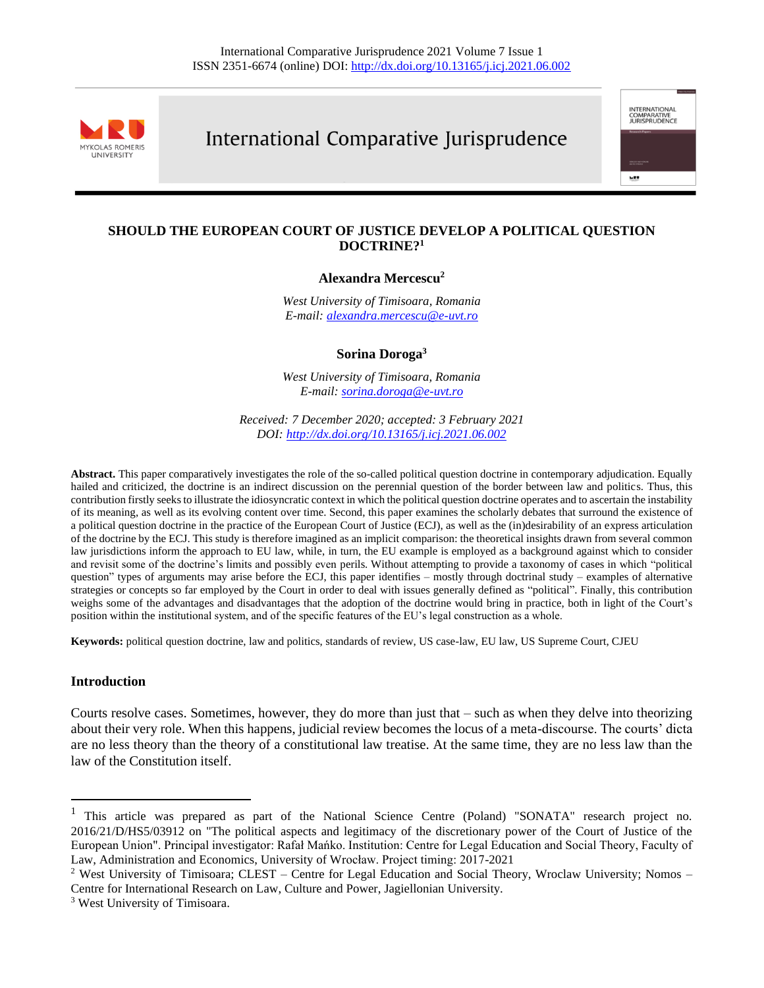

# International Comparative Jurisprudence

international<br>Comparative<br>Jurisprudence

we v

## **SHOULD THE EUROPEAN COURT OF JUSTICE DEVELOP A POLITICAL QUESTION DOCTRINE?<sup>1</sup>**

#### **Alexandra Mercescu<sup>2</sup>**

*West University of Timisoara, Romania E-mail: [alexandra.mercescu@e-uvt.ro](mailto:alexandra.mercescu@e-uvt.ro)* 

**Sorina Doroga<sup>3</sup>**

*West University of Timisoara, Romania E-mail: [sorina.doroga@e-uvt.ro](mailto:sorina.doroga@e-uvt.ro)* 

*Received: 7 December 2020; accepted: 3 February 2021 DOI[: http://dx.doi.org/10.13165/j.icj.2021.06.002](http://dx.doi.org/10.13165/j.icj.2021.06.002)*

**Abstract.** This paper comparatively investigates the role of the so-called political question doctrine in contemporary adjudication. Equally hailed and criticized, the doctrine is an indirect discussion on the perennial question of the border between law and politics. Thus, this contribution firstly seeks to illustrate the idiosyncratic context in which the political question doctrine operates and to ascertain the instability of its meaning, as well as its evolving content over time. Second, this paper examines the scholarly debates that surround the existence of a political question doctrine in the practice of the European Court of Justice (ECJ), as well as the (in)desirability of an express articulation of the doctrine by the ECJ. This study is therefore imagined as an implicit comparison: the theoretical insights drawn from several common law jurisdictions inform the approach to EU law, while, in turn, the EU example is employed as a background against which to consider and revisit some of the doctrine's limits and possibly even perils. Without attempting to provide a taxonomy of cases in which "political question" types of arguments may arise before the ECJ, this paper identifies – mostly through doctrinal study – examples of alternative strategies or concepts so far employed by the Court in order to deal with issues generally defined as "political". Finally, this contribution weighs some of the advantages and disadvantages that the adoption of the doctrine would bring in practice, both in light of the Court's position within the institutional system, and of the specific features of the EU's legal construction as a whole.

**Keywords:** political question doctrine, law and politics, standards of review, US case-law, EU law, US Supreme Court, CJEU

#### **Introduction**

Courts resolve cases. Sometimes, however, they do more than just that – such as when they delve into theorizing about their very role. When this happens, judicial review becomes the locus of a meta-discourse. The courts' dicta are no less theory than the theory of a constitutional law treatise. At the same time, they are no less law than the law of the Constitution itself.

<sup>&</sup>lt;sup>1</sup> This article was prepared as part of the National Science Centre (Poland) "SONATA" research project no. 2016/21/D/HS5/03912 on "The political aspects and legitimacy of the discretionary power of the Court of Justice of the European Union". Principal investigator: Rafał Mańko. Institution: Centre for Legal Education and Social Theory, Faculty of Law, Administration and Economics, University of Wrocław. Project timing: 2017-2021

<sup>&</sup>lt;sup>2</sup> West University of Timisoara; CLEST – Centre for Legal Education and Social Theory, Wroclaw University; Nomos – Centre for International Research on Law, Culture and Power, Jagiellonian University.

<sup>3</sup> West University of Timisoara.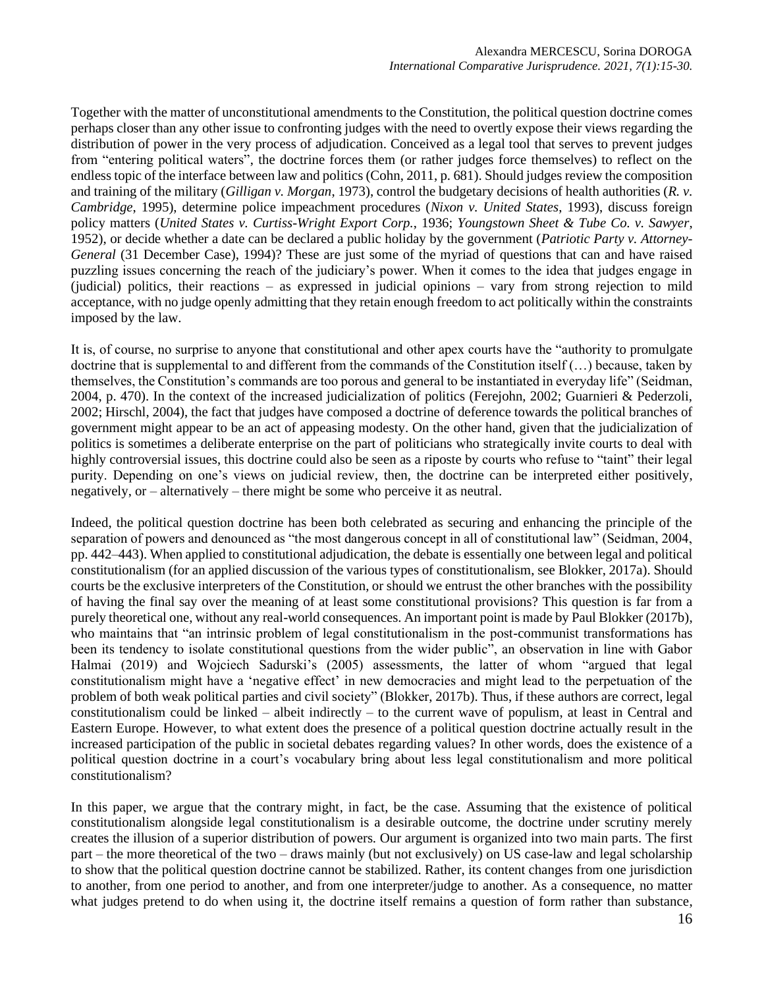Together with the matter of unconstitutional amendments to the Constitution, the political question doctrine comes perhaps closer than any other issue to confronting judges with the need to overtly expose their views regarding the distribution of power in the very process of adjudication. Conceived as a legal tool that serves to prevent judges from "entering political waters", the doctrine forces them (or rather judges force themselves) to reflect on the endless topic of the interface between law and politics (Cohn, 2011, p. 681). Should judges review the composition and training of the military (*Gilligan v. Morgan*, 1973), control the budgetary decisions of health authorities (*R. v. Cambridge*, 1995), determine police impeachment procedures (*Nixon v. United States*, 1993), discuss foreign policy matters (*United States v. Curtiss*-*Wright Export Corp.*, 1936; *Youngstown Sheet & Tube Co. v. Sawyer*, 1952), or decide whether a date can be declared a public holiday by the government (*Patriotic Party v. Attorney-General* (31 December Case), 1994)? These are just some of the myriad of questions that can and have raised puzzling issues concerning the reach of the judiciary's power. When it comes to the idea that judges engage in (judicial) politics, their reactions – as expressed in judicial opinions – vary from strong rejection to mild acceptance, with no judge openly admitting that they retain enough freedom to act politically within the constraints imposed by the law.

It is, of course, no surprise to anyone that constitutional and other apex courts have the "authority to promulgate doctrine that is supplemental to and different from the commands of the Constitution itself (…) because, taken by themselves, the Constitution's commands are too porous and general to be instantiated in everyday life" (Seidman, 2004, p. 470). In the context of the increased judicialization of politics (Ferejohn, 2002; Guarnieri & Pederzoli, 2002; Hirschl, 2004), the fact that judges have composed a doctrine of deference towards the political branches of government might appear to be an act of appeasing modesty. On the other hand, given that the judicialization of politics is sometimes a deliberate enterprise on the part of politicians who strategically invite courts to deal with highly controversial issues, this doctrine could also be seen as a riposte by courts who refuse to "taint" their legal purity. Depending on one's views on judicial review, then, the doctrine can be interpreted either positively, negatively, or – alternatively – there might be some who perceive it as neutral.

Indeed, the political question doctrine has been both celebrated as securing and enhancing the principle of the separation of powers and denounced as "the most dangerous concept in all of constitutional law" (Seidman, 2004, pp. 442–443). When applied to constitutional adjudication, the debate is essentially one between legal and political constitutionalism (for an applied discussion of the various types of constitutionalism, see Blokker, 2017a). Should courts be the exclusive interpreters of the Constitution, or should we entrust the other branches with the possibility of having the final say over the meaning of at least some constitutional provisions? This question is far from a purely theoretical one, without any real-world consequences. An important point is made by Paul Blokker (2017b), who maintains that "an intrinsic problem of legal constitutionalism in the post-communist transformations has been its tendency to isolate constitutional questions from the wider public", an observation in line with Gabor Halmai (2019) and Wojciech Sadurski's (2005) assessments, the latter of whom "argued that legal constitutionalism might have a 'negative effect' in new democracies and might lead to the perpetuation of the problem of both weak political parties and civil society" (Blokker, 2017b). Thus, if these authors are correct, legal constitutionalism could be linked – albeit indirectly – to the current wave of populism, at least in Central and Eastern Europe. However, to what extent does the presence of a political question doctrine actually result in the increased participation of the public in societal debates regarding values? In other words, does the existence of a political question doctrine in a court's vocabulary bring about less legal constitutionalism and more political constitutionalism?

In this paper, we argue that the contrary might, in fact, be the case. Assuming that the existence of political constitutionalism alongside legal constitutionalism is a desirable outcome, the doctrine under scrutiny merely creates the illusion of a superior distribution of powers. Our argument is organized into two main parts. The first part – the more theoretical of the two – draws mainly (but not exclusively) on US case-law and legal scholarship to show that the political question doctrine cannot be stabilized. Rather, its content changes from one jurisdiction to another, from one period to another, and from one interpreter/judge to another. As a consequence, no matter what judges pretend to do when using it, the doctrine itself remains a question of form rather than substance,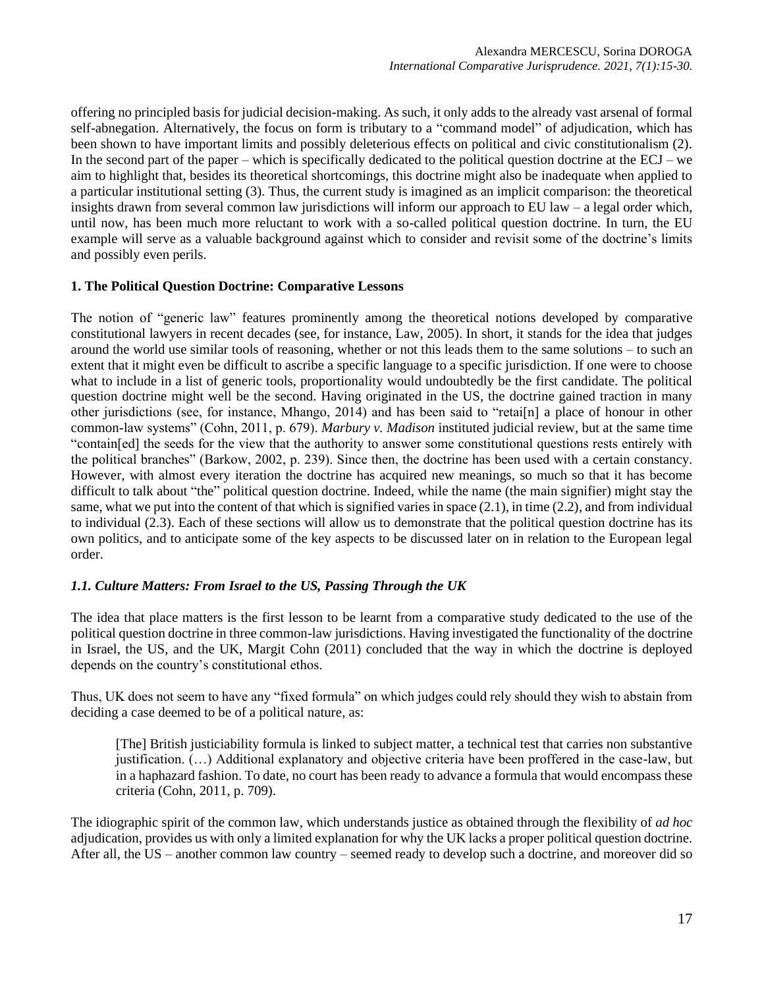offering no principled basis for judicial decision-making. As such, it only adds to the already vast arsenal of formal self-abnegation. Alternatively, the focus on form is tributary to a "command model" of adjudication, which has been shown to have important limits and possibly deleterious effects on political and civic constitutionalism (2). In the second part of the paper – which is specifically dedicated to the political question doctrine at the ECJ – we aim to highlight that, besides its theoretical shortcomings, this doctrine might also be inadequate when applied to a particular institutional setting (3). Thus, the current study is imagined as an implicit comparison: the theoretical insights drawn from several common law jurisdictions will inform our approach to EU law – a legal order which, until now, has been much more reluctant to work with a so-called political question doctrine. In turn, the EU example will serve as a valuable background against which to consider and revisit some of the doctrine's limits and possibly even perils.

## **1. The Political Question Doctrine: Comparative Lessons**

The notion of "generic law" features prominently among the theoretical notions developed by comparative constitutional lawyers in recent decades (see, for instance, Law, 2005). In short, it stands for the idea that judges around the world use similar tools of reasoning, whether or not this leads them to the same solutions – to such an extent that it might even be difficult to ascribe a specific language to a specific jurisdiction. If one were to choose what to include in a list of generic tools, proportionality would undoubtedly be the first candidate. The political question doctrine might well be the second. Having originated in the US, the doctrine gained traction in many other jurisdictions (see, for instance, Mhango, 2014) and has been said to "retai[n] a place of honour in other common-law systems" (Cohn, 2011, p. 679). *Marbury v. Madison* instituted judicial review, but at the same time "contain[ed] the seeds for the view that the authority to answer some constitutional questions rests entirely with the political branches" (Barkow, 2002, p. 239). Since then, the doctrine has been used with a certain constancy. However, with almost every iteration the doctrine has acquired new meanings, so much so that it has become difficult to talk about "the" political question doctrine. Indeed, while the name (the main signifier) might stay the same, what we put into the content of that which is signified varies in space (2.1), in time (2.2), and from individual to individual (2.3). Each of these sections will allow us to demonstrate that the political question doctrine has its own politics, and to anticipate some of the key aspects to be discussed later on in relation to the European legal order.

# *1.1. Culture Matters: From Israel to the US, Passing Through the UK*

The idea that place matters is the first lesson to be learnt from a comparative study dedicated to the use of the political question doctrine in three common-law jurisdictions. Having investigated the functionality of the doctrine in Israel, the US, and the UK, Margit Cohn (2011) concluded that the way in which the doctrine is deployed depends on the country's constitutional ethos.

Thus, UK does not seem to have any "fixed formula" on which judges could rely should they wish to abstain from deciding a case deemed to be of a political nature, as:

[The] British justiciability formula is linked to subject matter, a technical test that carries non substantive justification. (…) Additional explanatory and objective criteria have been proffered in the case-law, but in a haphazard fashion. To date, no court has been ready to advance a formula that would encompass these criteria (Cohn, 2011, p. 709).

The idiographic spirit of the common law, which understands justice as obtained through the flexibility of *ad hoc* adjudication, provides us with only a limited explanation for why the UK lacks a proper political question doctrine. After all, the US – another common law country – seemed ready to develop such a doctrine, and moreover did so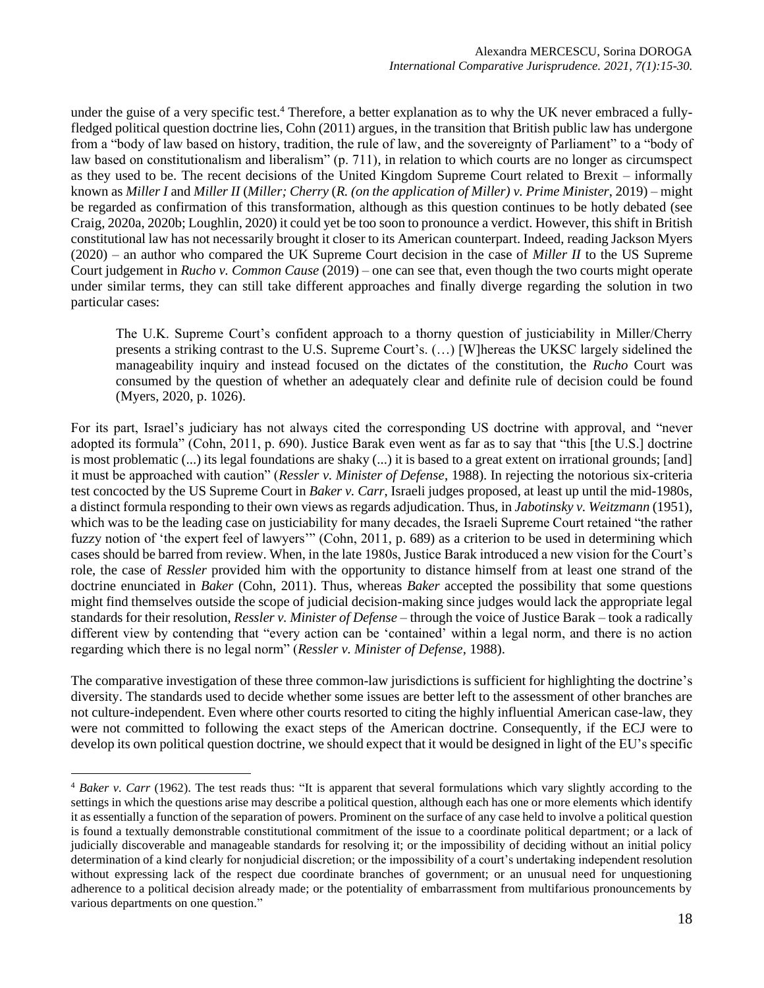under the guise of a very specific test.<sup>4</sup> Therefore, a better explanation as to why the UK never embraced a fullyfledged political question doctrine lies, Cohn (2011) argues, in the transition that British public law has undergone from a "body of law based on history, tradition, the rule of law, and the sovereignty of Parliament" to a "body of law based on constitutionalism and liberalism" (p. 711), in relation to which courts are no longer as circumspect as they used to be. The recent decisions of the United Kingdom Supreme Court related to Brexit – informally known as *Miller I* and *Miller II* (*Miller; Cherry* (*R. (on the application of Miller) v. Prime Minister*, 2019) – might be regarded as confirmation of this transformation, although as this question continues to be hotly debated (see Craig, 2020a, 2020b; Loughlin, 2020) it could yet be too soon to pronounce a verdict. However, this shift in British constitutional law has not necessarily brought it closer to its American counterpart. Indeed, reading Jackson Myers (2020) – an author who compared the UK Supreme Court decision in the case of *Miller II* to the US Supreme Court judgement in *Rucho v. Common Cause* (2019) – one can see that, even though the two courts might operate under similar terms, they can still take different approaches and finally diverge regarding the solution in two particular cases:

The U.K. Supreme Court's confident approach to a thorny question of justiciability in Miller/Cherry presents a striking contrast to the U.S. Supreme Court's. (…) [W]hereas the UKSC largely sidelined the manageability inquiry and instead focused on the dictates of the constitution, the *Rucho* Court was consumed by the question of whether an adequately clear and definite rule of decision could be found (Myers, 2020, p. 1026).

For its part, Israel's judiciary has not always cited the corresponding US doctrine with approval, and "never adopted its formula" (Cohn, 2011, p. 690). Justice Barak even went as far as to say that "this [the U.S.] doctrine is most problematic (...) its legal foundations are shaky (...) it is based to a great extent on irrational grounds; [and] it must be approached with caution" (*Ressler v. Minister of Defense*, 1988). In rejecting the notorious six-criteria test concocted by the US Supreme Court in *Baker v. Carr*, Israeli judges proposed, at least up until the mid-1980s, a distinct formula responding to their own views as regards adjudication. Thus, in *Jabotinsky v. Weitzmann* (1951), which was to be the leading case on justiciability for many decades, the Israeli Supreme Court retained "the rather fuzzy notion of 'the expert feel of lawyers'" (Cohn, 2011, p. 689) as a criterion to be used in determining which cases should be barred from review. When, in the late 1980s, Justice Barak introduced a new vision for the Court's role, the case of *Ressler* provided him with the opportunity to distance himself from at least one strand of the doctrine enunciated in *Baker* (Cohn, 2011). Thus, whereas *Baker* accepted the possibility that some questions might find themselves outside the scope of judicial decision-making since judges would lack the appropriate legal standards for their resolution, *Ressler v. Minister of Defense* – through the voice of Justice Barak – took a radically different view by contending that "every action can be 'contained' within a legal norm, and there is no action regarding which there is no legal norm" (*Ressler v. Minister of Defense*, 1988).

The comparative investigation of these three common-law jurisdictions is sufficient for highlighting the doctrine's diversity. The standards used to decide whether some issues are better left to the assessment of other branches are not culture-independent. Even where other courts resorted to citing the highly influential American case-law, they were not committed to following the exact steps of the American doctrine. Consequently, if the ECJ were to develop its own political question doctrine, we should expect that it would be designed in light of the EU's specific

<sup>4</sup> *Baker v. Carr* (1962). The test reads thus: "It is apparent that several formulations which vary slightly according to the settings in which the questions arise may describe a political question, although each has one or more elements which identify it as essentially a function of the separation of powers. Prominent on the surface of any case held to involve a political question is found a textually demonstrable constitutional commitment of the issue to a coordinate political department; or a lack of judicially discoverable and manageable standards for resolving it; or the impossibility of deciding without an initial policy determination of a kind clearly for nonjudicial discretion; or the impossibility of a court's undertaking independent resolution without expressing lack of the respect due coordinate branches of government; or an unusual need for unquestioning adherence to a political decision already made; or the potentiality of embarrassment from multifarious pronouncements by various departments on one question."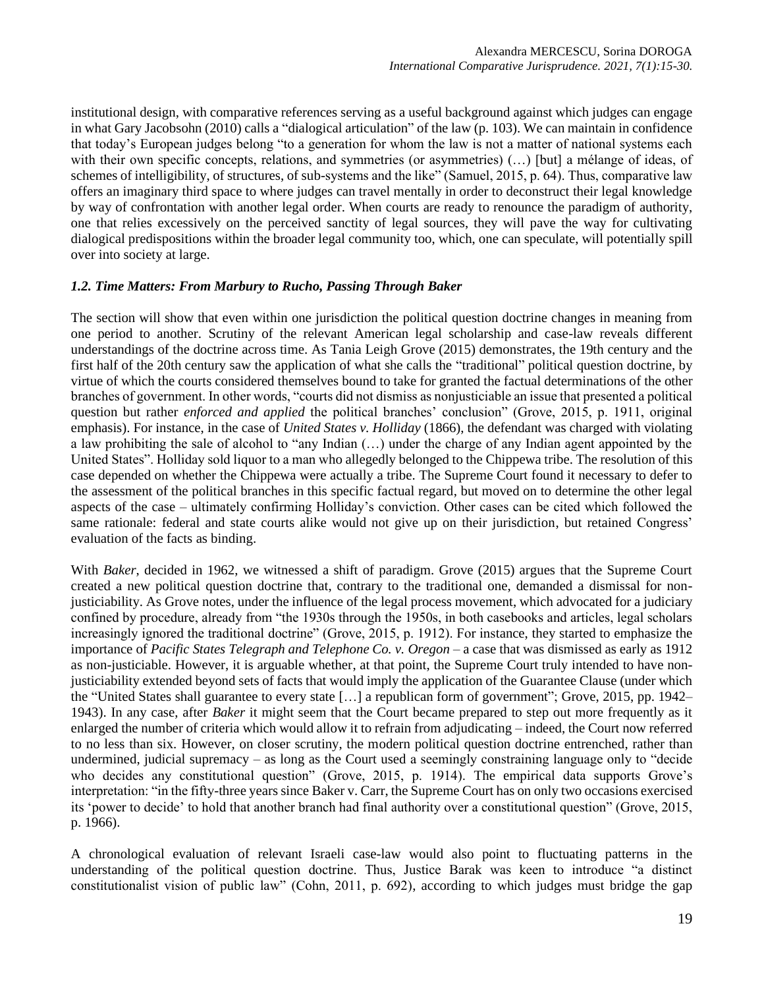institutional design, with comparative references serving as a useful background against which judges can engage in what Gary Jacobsohn (2010) calls a "dialogical articulation" of the law (p. 103). We can maintain in confidence that today's European judges belong "to a generation for whom the law is not a matter of national systems each with their own specific concepts, relations, and symmetries (or asymmetries)  $(...)$  [but] a mélange of ideas, of schemes of intelligibility, of structures, of sub-systems and the like" (Samuel, 2015, p. 64). Thus, comparative law offers an imaginary third space to where judges can travel mentally in order to deconstruct their legal knowledge by way of confrontation with another legal order. When courts are ready to renounce the paradigm of authority, one that relies excessively on the perceived sanctity of legal sources, they will pave the way for cultivating dialogical predispositions within the broader legal community too, which, one can speculate, will potentially spill over into society at large.

#### *1.2. Time Matters: From Marbury to Rucho, Passing Through Baker*

The section will show that even within one jurisdiction the political question doctrine changes in meaning from one period to another. Scrutiny of the relevant American legal scholarship and case-law reveals different understandings of the doctrine across time. As Tania Leigh Grove (2015) demonstrates, the 19th century and the first half of the 20th century saw the application of what she calls the "traditional" political question doctrine, by virtue of which the courts considered themselves bound to take for granted the factual determinations of the other branches of government. In other words, "courts did not dismiss as nonjusticiable an issue that presented a political question but rather *enforced and applied* the political branches' conclusion" (Grove, 2015, p. 1911, original emphasis). For instance, in the case of *United States v. Holliday* (1866), the defendant was charged with violating a law prohibiting the sale of alcohol to "any Indian (…) under the charge of any Indian agent appointed by the United States". Holliday sold liquor to a man who allegedly belonged to the Chippewa tribe. The resolution of this case depended on whether the Chippewa were actually a tribe. The Supreme Court found it necessary to defer to the assessment of the political branches in this specific factual regard, but moved on to determine the other legal aspects of the case – ultimately confirming Holliday's conviction. Other cases can be cited which followed the same rationale: federal and state courts alike would not give up on their jurisdiction, but retained Congress' evaluation of the facts as binding.

With *Baker*, decided in 1962, we witnessed a shift of paradigm. Grove (2015) argues that the Supreme Court created a new political question doctrine that, contrary to the traditional one, demanded a dismissal for nonjusticiability. As Grove notes, under the influence of the legal process movement, which advocated for a judiciary confined by procedure, already from "the 1930s through the 1950s, in both casebooks and articles, legal scholars increasingly ignored the traditional doctrine" (Grove, 2015, p. 1912). For instance, they started to emphasize the importance of *Pacific States Telegraph and Telephone Co. v. Oregon* – a case that was dismissed as early as 1912 as non-justiciable. However, it is arguable whether, at that point, the Supreme Court truly intended to have nonjusticiability extended beyond sets of facts that would imply the application of the Guarantee Clause (under which the "United States shall guarantee to every state […] a republican form of government"; Grove, 2015, pp. 1942– 1943). In any case, after *Baker* it might seem that the Court became prepared to step out more frequently as it enlarged the number of criteria which would allow it to refrain from adjudicating – indeed, the Court now referred to no less than six. However, on closer scrutiny, the modern political question doctrine entrenched, rather than undermined, judicial supremacy – as long as the Court used a seemingly constraining language only to "decide who decides any constitutional question" (Grove, 2015, p. 1914). The empirical data supports Grove's interpretation: "in the fifty-three years since Baker v. Carr, the Supreme Court has on only two occasions exercised its 'power to decide' to hold that another branch had final authority over a constitutional question" (Grove, 2015, p. 1966).

A chronological evaluation of relevant Israeli case-law would also point to fluctuating patterns in the understanding of the political question doctrine. Thus, Justice Barak was keen to introduce "a distinct constitutionalist vision of public law" (Cohn, 2011, p. 692), according to which judges must bridge the gap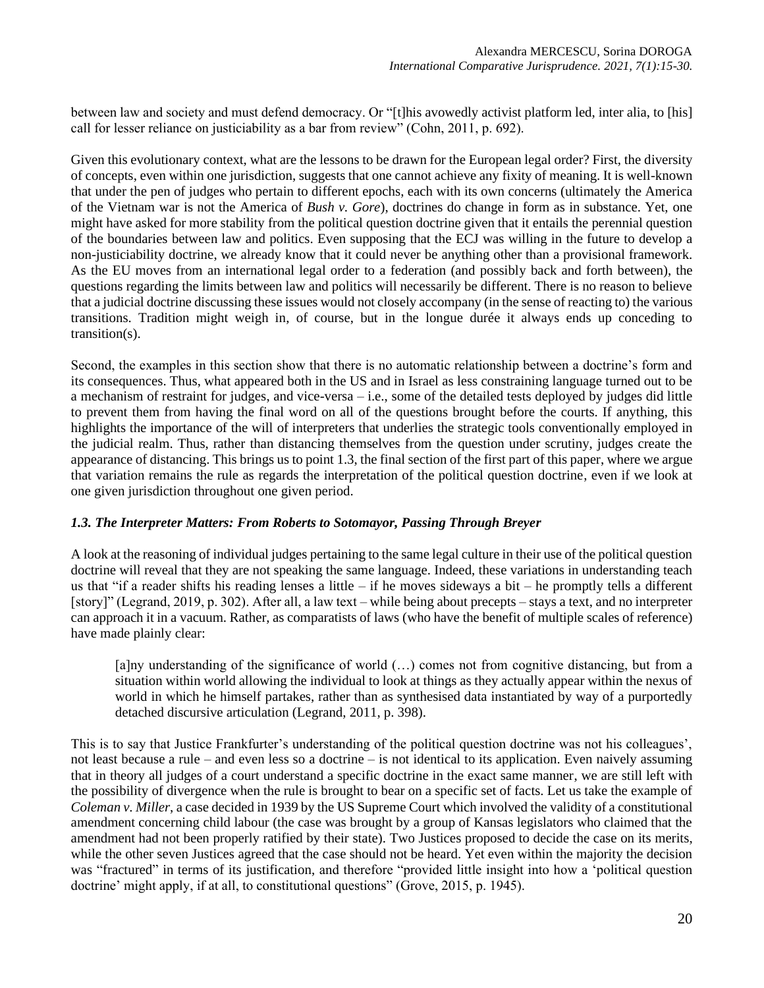between law and society and must defend democracy. Or "[t]his avowedly activist platform led, inter alia, to [his] call for lesser reliance on justiciability as a bar from review" (Cohn, 2011, p. 692).

Given this evolutionary context, what are the lessons to be drawn for the European legal order? First, the diversity of concepts, even within one jurisdiction, suggests that one cannot achieve any fixity of meaning. It is well-known that under the pen of judges who pertain to different epochs, each with its own concerns (ultimately the America of the Vietnam war is not the America of *Bush v. Gore*), doctrines do change in form as in substance. Yet, one might have asked for more stability from the political question doctrine given that it entails the perennial question of the boundaries between law and politics. Even supposing that the ECJ was willing in the future to develop a non-justiciability doctrine, we already know that it could never be anything other than a provisional framework. As the EU moves from an international legal order to a federation (and possibly back and forth between), the questions regarding the limits between law and politics will necessarily be different. There is no reason to believe that a judicial doctrine discussing these issues would not closely accompany (in the sense of reacting to) the various transitions. Tradition might weigh in, of course, but in the longue durée it always ends up conceding to transition(s).

Second, the examples in this section show that there is no automatic relationship between a doctrine's form and its consequences. Thus, what appeared both in the US and in Israel as less constraining language turned out to be a mechanism of restraint for judges, and vice-versa – i.e., some of the detailed tests deployed by judges did little to prevent them from having the final word on all of the questions brought before the courts. If anything, this highlights the importance of the will of interpreters that underlies the strategic tools conventionally employed in the judicial realm. Thus, rather than distancing themselves from the question under scrutiny, judges create the appearance of distancing. This brings us to point 1.3, the final section of the first part of this paper, where we argue that variation remains the rule as regards the interpretation of the political question doctrine, even if we look at one given jurisdiction throughout one given period.

## *1.3. The Interpreter Matters: From Roberts to Sotomayor, Passing Through Breyer*

A look at the reasoning of individual judges pertaining to the same legal culture in their use of the political question doctrine will reveal that they are not speaking the same language. Indeed, these variations in understanding teach us that "if a reader shifts his reading lenses a little – if he moves sideways a bit – he promptly tells a different [story]" (Legrand, 2019, p. 302). After all, a law text – while being about precepts – stays a text, and no interpreter can approach it in a vacuum. Rather, as comparatists of laws (who have the benefit of multiple scales of reference) have made plainly clear:

[a]ny understanding of the significance of world (…) comes not from cognitive distancing, but from a situation within world allowing the individual to look at things as they actually appear within the nexus of world in which he himself partakes, rather than as synthesised data instantiated by way of a purportedly detached discursive articulation (Legrand, 2011, p. 398).

This is to say that Justice Frankfurter's understanding of the political question doctrine was not his colleagues', not least because a rule – and even less so a doctrine – is not identical to its application. Even naively assuming that in theory all judges of a court understand a specific doctrine in the exact same manner, we are still left with the possibility of divergence when the rule is brought to bear on a specific set of facts. Let us take the example of *Coleman v. Miller*, a case decided in 1939 by the US Supreme Court which involved the validity of a constitutional amendment concerning child labour (the case was brought by a group of Kansas legislators who claimed that the amendment had not been properly ratified by their state). Two Justices proposed to decide the case on its merits, while the other seven Justices agreed that the case should not be heard. Yet even within the majority the decision was "fractured" in terms of its justification, and therefore "provided little insight into how a 'political question doctrine' might apply, if at all, to constitutional questions" (Grove, 2015, p. 1945).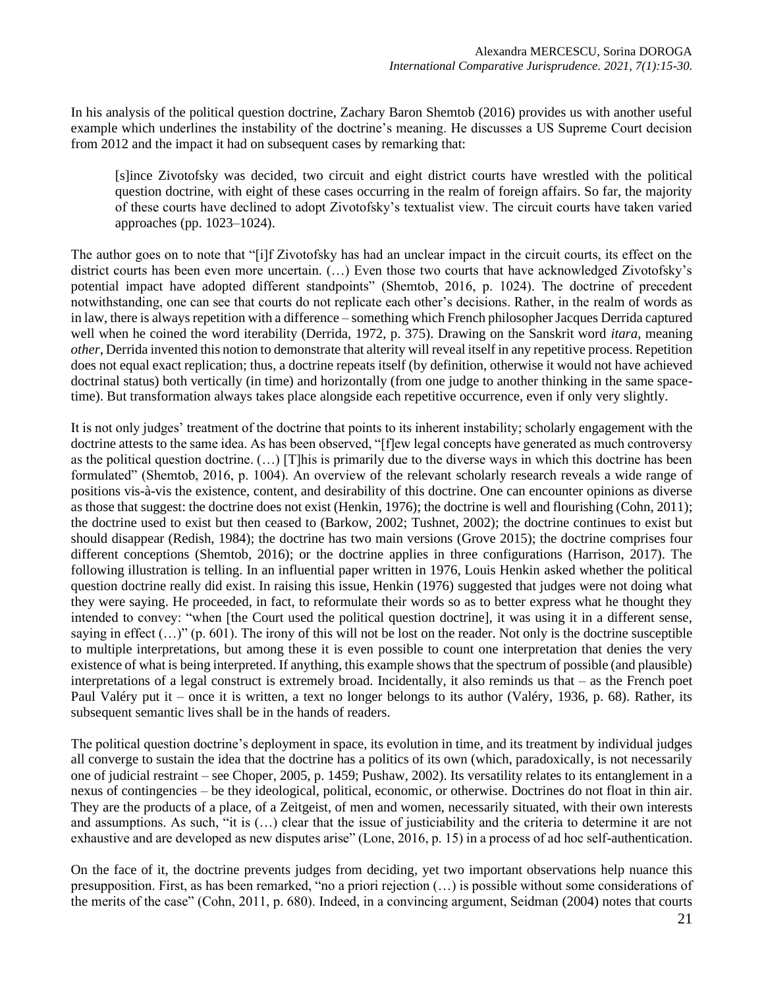In his analysis of the political question doctrine, Zachary Baron Shemtob (2016) provides us with another useful example which underlines the instability of the doctrine's meaning. He discusses a US Supreme Court decision from 2012 and the impact it had on subsequent cases by remarking that:

[s]ince Zivotofsky was decided, two circuit and eight district courts have wrestled with the political question doctrine, with eight of these cases occurring in the realm of foreign affairs. So far, the majority of these courts have declined to adopt Zivotofsky's textualist view. The circuit courts have taken varied approaches (pp. 1023–1024).

The author goes on to note that "[i]f Zivotofsky has had an unclear impact in the circuit courts, its effect on the district courts has been even more uncertain. (…) Even those two courts that have acknowledged Zivotofsky's potential impact have adopted different standpoints" (Shemtob, 2016, p. 1024). The doctrine of precedent notwithstanding, one can see that courts do not replicate each other's decisions. Rather, in the realm of words as in law, there is always repetition with a difference – something which French philosopher Jacques Derrida captured well when he coined the word iterability (Derrida, 1972, p. 375). Drawing on the Sanskrit word *itara*, meaning *other*, Derrida invented this notion to demonstrate that alterity will reveal itself in any repetitive process. Repetition does not equal exact replication; thus, a doctrine repeats itself (by definition, otherwise it would not have achieved doctrinal status) both vertically (in time) and horizontally (from one judge to another thinking in the same spacetime). But transformation always takes place alongside each repetitive occurrence, even if only very slightly.

It is not only judges' treatment of the doctrine that points to its inherent instability; scholarly engagement with the doctrine attests to the same idea. As has been observed, "[f]ew legal concepts have generated as much controversy as the political question doctrine. (…) [T]his is primarily due to the diverse ways in which this doctrine has been formulated" (Shemtob, 2016, p. 1004). An overview of the relevant scholarly research reveals a wide range of positions vis-à-vis the existence, content, and desirability of this doctrine. One can encounter opinions as diverse as those that suggest: the doctrine does not exist (Henkin, 1976); the doctrine is well and flourishing (Cohn, 2011); the doctrine used to exist but then ceased to (Barkow, 2002; Tushnet, 2002); the doctrine continues to exist but should disappear (Redish, 1984); the doctrine has two main versions (Grove 2015); the doctrine comprises four different conceptions (Shemtob, 2016); or the doctrine applies in three configurations (Harrison, 2017). The following illustration is telling. In an influential paper written in 1976, Louis Henkin asked whether the political question doctrine really did exist. In raising this issue, Henkin (1976) suggested that judges were not doing what they were saying. He proceeded, in fact, to reformulate their words so as to better express what he thought they intended to convey: "when [the Court used the political question doctrine], it was using it in a different sense, saying in effect  $(...)$ " (p. 601). The irony of this will not be lost on the reader. Not only is the doctrine susceptible to multiple interpretations, but among these it is even possible to count one interpretation that denies the very existence of what is being interpreted. If anything, this example shows that the spectrum of possible (and plausible) interpretations of a legal construct is extremely broad. Incidentally, it also reminds us that – as the French poet Paul Valéry put it – once it is written, a text no longer belongs to its author (Valéry, 1936, p. 68). Rather, its subsequent semantic lives shall be in the hands of readers.

The political question doctrine's deployment in space, its evolution in time, and its treatment by individual judges all converge to sustain the idea that the doctrine has a politics of its own (which, paradoxically, is not necessarily one of judicial restraint – see Choper, 2005, p. 1459; Pushaw, 2002). Its versatility relates to its entanglement in a nexus of contingencies – be they ideological, political, economic, or otherwise. Doctrines do not float in thin air. They are the products of a place, of a Zeitgeist, of men and women, necessarily situated, with their own interests and assumptions. As such, "it is (…) clear that the issue of justiciability and the criteria to determine it are not exhaustive and are developed as new disputes arise" (Lone, 2016, p. 15) in a process of ad hoc self-authentication.

On the face of it, the doctrine prevents judges from deciding, yet two important observations help nuance this presupposition. First, as has been remarked, "no a priori rejection (…) is possible without some considerations of the merits of the case" (Cohn, 2011, p. 680). Indeed, in a convincing argument, Seidman (2004) notes that courts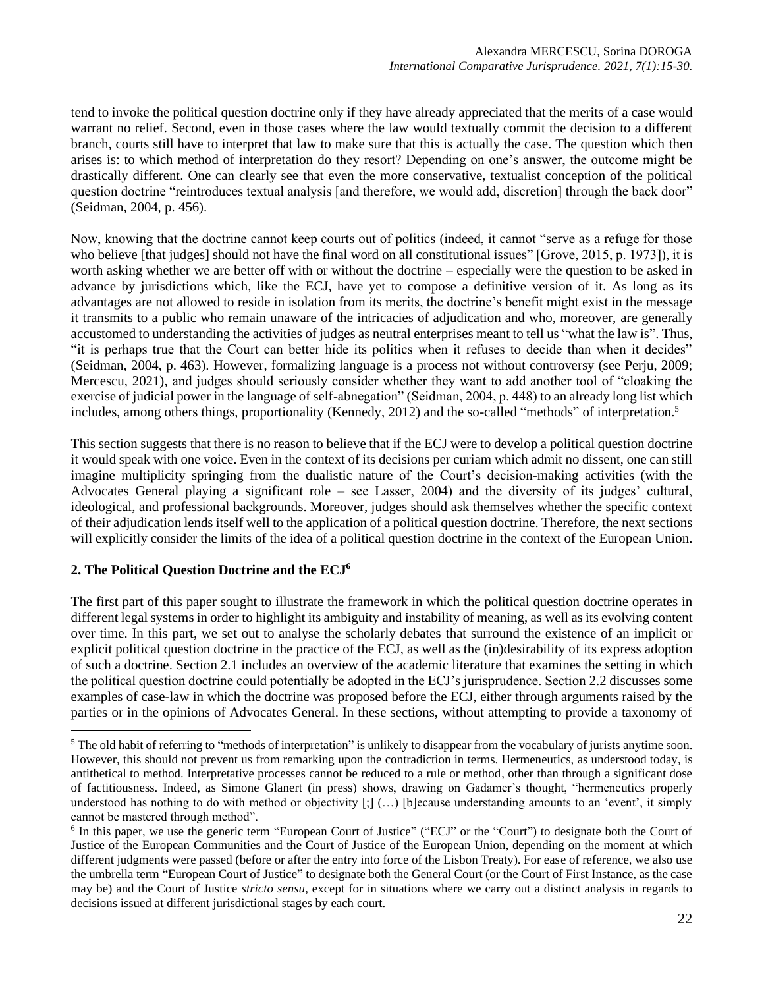tend to invoke the political question doctrine only if they have already appreciated that the merits of a case would warrant no relief. Second, even in those cases where the law would textually commit the decision to a different branch, courts still have to interpret that law to make sure that this is actually the case. The question which then arises is: to which method of interpretation do they resort? Depending on one's answer, the outcome might be drastically different. One can clearly see that even the more conservative, textualist conception of the political question doctrine "reintroduces textual analysis [and therefore, we would add, discretion] through the back door" (Seidman, 2004, p. 456).

Now, knowing that the doctrine cannot keep courts out of politics (indeed, it cannot "serve as a refuge for those who believe [that judges] should not have the final word on all constitutional issues" [Grove, 2015, p. 1973]), it is worth asking whether we are better off with or without the doctrine – especially were the question to be asked in advance by jurisdictions which, like the ECJ, have yet to compose a definitive version of it. As long as its advantages are not allowed to reside in isolation from its merits, the doctrine's benefit might exist in the message it transmits to a public who remain unaware of the intricacies of adjudication and who, moreover, are generally accustomed to understanding the activities of judges as neutral enterprises meant to tell us "what the law is". Thus, "it is perhaps true that the Court can better hide its politics when it refuses to decide than when it decides" (Seidman, 2004, p. 463). However, formalizing language is a process not without controversy (see Perju, 2009; Mercescu, 2021), and judges should seriously consider whether they want to add another tool of "cloaking the exercise of judicial power in the language of self-abnegation" (Seidman, 2004, p. 448) to an already long list which includes, among others things, proportionality (Kennedy, 2012) and the so-called "methods" of interpretation. 5

This section suggests that there is no reason to believe that if the ECJ were to develop a political question doctrine it would speak with one voice. Even in the context of its decisions per curiam which admit no dissent, one can still imagine multiplicity springing from the dualistic nature of the Court's decision-making activities (with the Advocates General playing a significant role – see Lasser, 2004) and the diversity of its judges' cultural, ideological, and professional backgrounds. Moreover, judges should ask themselves whether the specific context of their adjudication lends itself well to the application of a political question doctrine. Therefore, the next sections will explicitly consider the limits of the idea of a political question doctrine in the context of the European Union.

# **2. The Political Question Doctrine and the ECJ<sup>6</sup>**

The first part of this paper sought to illustrate the framework in which the political question doctrine operates in different legal systems in order to highlight its ambiguity and instability of meaning, as well as its evolving content over time. In this part, we set out to analyse the scholarly debates that surround the existence of an implicit or explicit political question doctrine in the practice of the ECJ, as well as the (in)desirability of its express adoption of such a doctrine. Section 2.1 includes an overview of the academic literature that examines the setting in which the political question doctrine could potentially be adopted in the ECJ's jurisprudence. Section 2.2 discusses some examples of case-law in which the doctrine was proposed before the ECJ, either through arguments raised by the parties or in the opinions of Advocates General. In these sections, without attempting to provide a taxonomy of

<sup>&</sup>lt;sup>5</sup> The old habit of referring to "methods of interpretation" is unlikely to disappear from the vocabulary of jurists anytime soon. However, this should not prevent us from remarking upon the contradiction in terms. Hermeneutics, as understood today, is antithetical to method. Interpretative processes cannot be reduced to a rule or method, other than through a significant dose of factitiousness. Indeed, as Simone Glanert (in press) shows, drawing on Gadamer's thought, "hermeneutics properly understood has nothing to do with method or objectivity [;] (...) [b]ecause understanding amounts to an 'event', it simply cannot be mastered through method".

<sup>&</sup>lt;sup>6</sup> In this paper, we use the generic term "European Court of Justice" ("ECJ" or the "Court") to designate both the Court of Justice of the European Communities and the Court of Justice of the European Union, depending on the moment at which different judgments were passed (before or after the entry into force of the Lisbon Treaty). For ease of reference, we also use the umbrella term "European Court of Justice" to designate both the General Court (or the Court of First Instance, as the case may be) and the Court of Justice *stricto sensu*, except for in situations where we carry out a distinct analysis in regards to decisions issued at different jurisdictional stages by each court.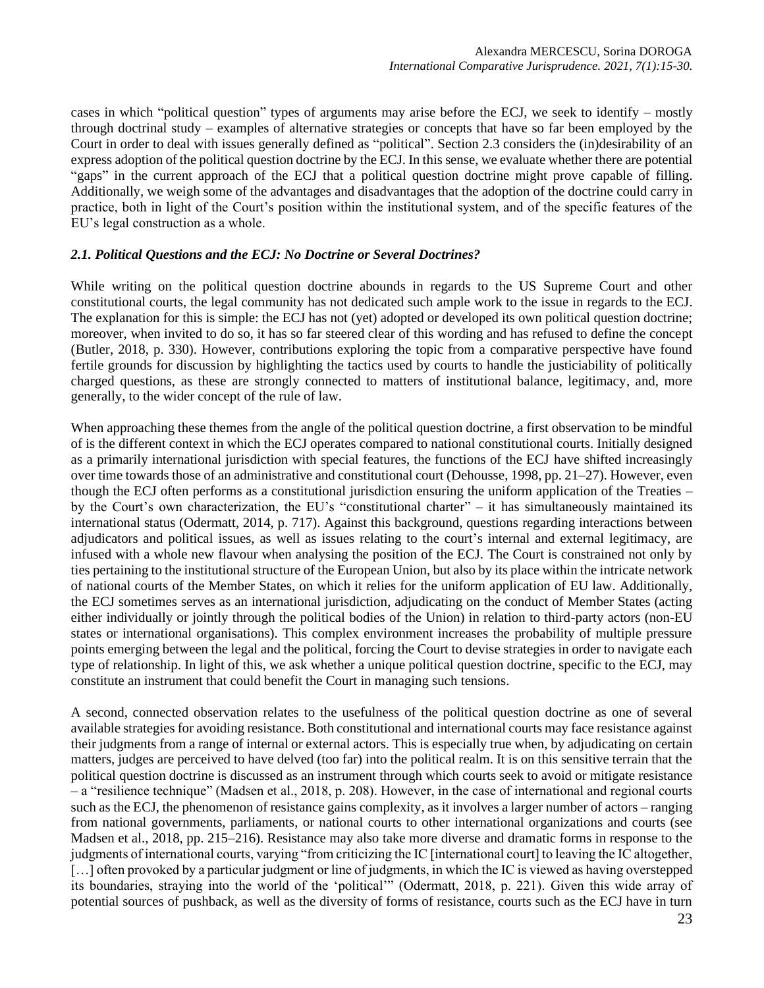cases in which "political question" types of arguments may arise before the ECJ, we seek to identify – mostly through doctrinal study – examples of alternative strategies or concepts that have so far been employed by the Court in order to deal with issues generally defined as "political". Section 2.3 considers the (in)desirability of an express adoption of the political question doctrine by the ECJ. In this sense, we evaluate whether there are potential "gaps" in the current approach of the ECJ that a political question doctrine might prove capable of filling. Additionally, we weigh some of the advantages and disadvantages that the adoption of the doctrine could carry in practice, both in light of the Court's position within the institutional system, and of the specific features of the EU's legal construction as a whole.

## *2.1. Political Questions and the ECJ: No Doctrine or Several Doctrines?*

While writing on the political question doctrine abounds in regards to the US Supreme Court and other constitutional courts, the legal community has not dedicated such ample work to the issue in regards to the ECJ. The explanation for this is simple: the ECJ has not (yet) adopted or developed its own political question doctrine; moreover, when invited to do so, it has so far steered clear of this wording and has refused to define the concept (Butler, 2018, p. 330). However, contributions exploring the topic from a comparative perspective have found fertile grounds for discussion by highlighting the tactics used by courts to handle the justiciability of politically charged questions, as these are strongly connected to matters of institutional balance, legitimacy, and, more generally, to the wider concept of the rule of law.

When approaching these themes from the angle of the political question doctrine, a first observation to be mindful of is the different context in which the ECJ operates compared to national constitutional courts. Initially designed as a primarily international jurisdiction with special features, the functions of the ECJ have shifted increasingly over time towards those of an administrative and constitutional court (Dehousse, 1998, pp. 21–27). However, even though the ECJ often performs as a constitutional jurisdiction ensuring the uniform application of the Treaties – by the Court's own characterization, the EU's "constitutional charter" – it has simultaneously maintained its international status (Odermatt, 2014, p. 717). Against this background, questions regarding interactions between adjudicators and political issues, as well as issues relating to the court's internal and external legitimacy, are infused with a whole new flavour when analysing the position of the ECJ. The Court is constrained not only by ties pertaining to the institutional structure of the European Union, but also by its place within the intricate network of national courts of the Member States, on which it relies for the uniform application of EU law. Additionally, the ECJ sometimes serves as an international jurisdiction, adjudicating on the conduct of Member States (acting either individually or jointly through the political bodies of the Union) in relation to third-party actors (non-EU states or international organisations). This complex environment increases the probability of multiple pressure points emerging between the legal and the political, forcing the Court to devise strategies in order to navigate each type of relationship. In light of this, we ask whether a unique political question doctrine, specific to the ECJ, may constitute an instrument that could benefit the Court in managing such tensions.

A second, connected observation relates to the usefulness of the political question doctrine as one of several available strategies for avoiding resistance. Both constitutional and international courts may face resistance against their judgments from a range of internal or external actors. This is especially true when, by adjudicating on certain matters, judges are perceived to have delved (too far) into the political realm. It is on this sensitive terrain that the political question doctrine is discussed as an instrument through which courts seek to avoid or mitigate resistance – a "resilience technique" (Madsen et al., 2018, p. 208). However, in the case of international and regional courts such as the ECJ, the phenomenon of resistance gains complexity, as it involves a larger number of actors – ranging from national governments, parliaments, or national courts to other international organizations and courts (see Madsen et al., 2018, pp. 215–216). Resistance may also take more diverse and dramatic forms in response to the judgments of international courts, varying "from criticizing the IC [international court] to leaving the IC altogether, [...] often provoked by a particular judgment or line of judgments, in which the IC is viewed as having overstepped its boundaries, straying into the world of the 'political'" (Odermatt, 2018, p. 221). Given this wide array of potential sources of pushback, as well as the diversity of forms of resistance, courts such as the ECJ have in turn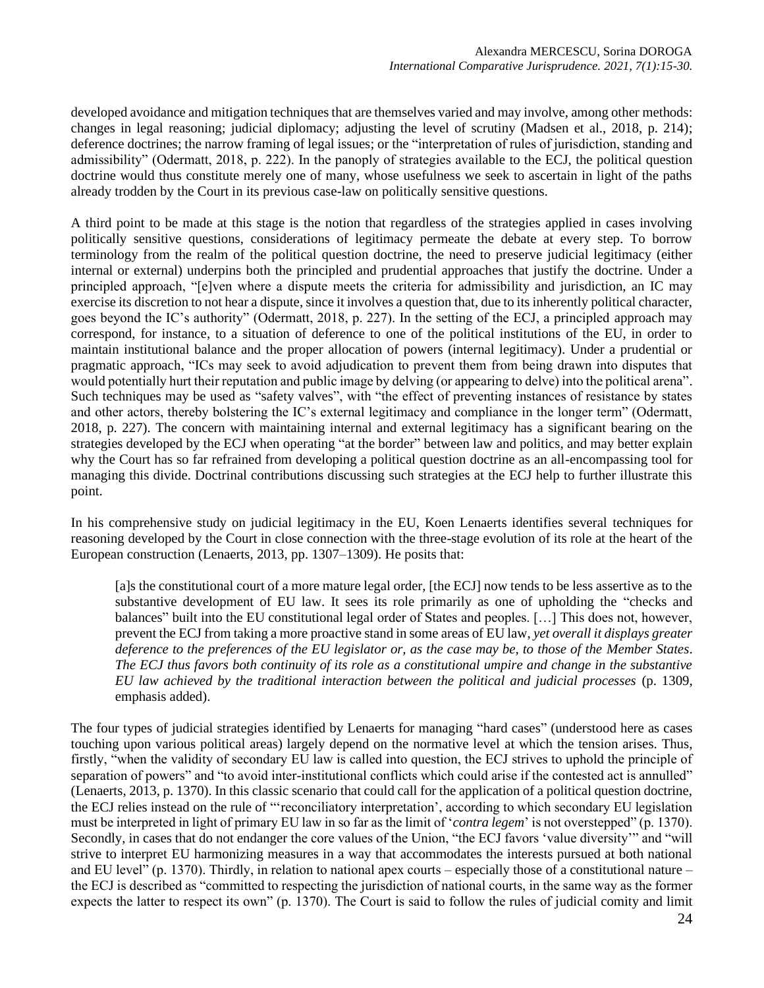developed avoidance and mitigation techniques that are themselves varied and may involve, among other methods: changes in legal reasoning; judicial diplomacy; adjusting the level of scrutiny (Madsen et al., 2018, p. 214); deference doctrines; the narrow framing of legal issues; or the "interpretation of rules of jurisdiction, standing and admissibility" (Odermatt, 2018, p. 222). In the panoply of strategies available to the ECJ, the political question doctrine would thus constitute merely one of many, whose usefulness we seek to ascertain in light of the paths already trodden by the Court in its previous case-law on politically sensitive questions.

A third point to be made at this stage is the notion that regardless of the strategies applied in cases involving politically sensitive questions, considerations of legitimacy permeate the debate at every step. To borrow terminology from the realm of the political question doctrine, the need to preserve judicial legitimacy (either internal or external) underpins both the principled and prudential approaches that justify the doctrine. Under a principled approach, "[e]ven where a dispute meets the criteria for admissibility and jurisdiction, an IC may exercise its discretion to not hear a dispute, since it involves a question that, due to its inherently political character, goes beyond the IC's authority" (Odermatt, 2018, p. 227). In the setting of the ECJ, a principled approach may correspond, for instance, to a situation of deference to one of the political institutions of the EU, in order to maintain institutional balance and the proper allocation of powers (internal legitimacy). Under a prudential or pragmatic approach, "ICs may seek to avoid adjudication to prevent them from being drawn into disputes that would potentially hurt their reputation and public image by delving (or appearing to delve) into the political arena". Such techniques may be used as "safety valves", with "the effect of preventing instances of resistance by states and other actors, thereby bolstering the IC's external legitimacy and compliance in the longer term" (Odermatt, 2018, p. 227). The concern with maintaining internal and external legitimacy has a significant bearing on the strategies developed by the ECJ when operating "at the border" between law and politics, and may better explain why the Court has so far refrained from developing a political question doctrine as an all-encompassing tool for managing this divide. Doctrinal contributions discussing such strategies at the ECJ help to further illustrate this point.

In his comprehensive study on judicial legitimacy in the EU, Koen Lenaerts identifies several techniques for reasoning developed by the Court in close connection with the three-stage evolution of its role at the heart of the European construction (Lenaerts, 2013, pp. 1307–1309). He posits that:

[a]s the constitutional court of a more mature legal order, [the ECJ] now tends to be less assertive as to the substantive development of EU law. It sees its role primarily as one of upholding the "checks and balances" built into the EU constitutional legal order of States and peoples. […] This does not, however, prevent the ECJ from taking a more proactive stand in some areas of EU law, *yet overall it displays greater deference to the preferences of the EU legislator or, as the case may be, to those of the Member States*. *The ECJ thus favors both continuity of its role as a constitutional umpire and change in the substantive EU law achieved by the traditional interaction between the political and judicial processes* (p. 1309, emphasis added).

The four types of judicial strategies identified by Lenaerts for managing "hard cases" (understood here as cases touching upon various political areas) largely depend on the normative level at which the tension arises. Thus, firstly, "when the validity of secondary EU law is called into question, the ECJ strives to uphold the principle of separation of powers" and "to avoid inter-institutional conflicts which could arise if the contested act is annulled" (Lenaerts, 2013, p. 1370). In this classic scenario that could call for the application of a political question doctrine, the ECJ relies instead on the rule of "'reconciliatory interpretation', according to which secondary EU legislation must be interpreted in light of primary EU law in so far as the limit of '*contra legem*' is not overstepped" (p. 1370). Secondly, in cases that do not endanger the core values of the Union, "the ECJ favors 'value diversity'" and "will strive to interpret EU harmonizing measures in a way that accommodates the interests pursued at both national and EU level" (p. 1370). Thirdly, in relation to national apex courts – especially those of a constitutional nature – the ECJ is described as "committed to respecting the jurisdiction of national courts, in the same way as the former expects the latter to respect its own" (p. 1370). The Court is said to follow the rules of judicial comity and limit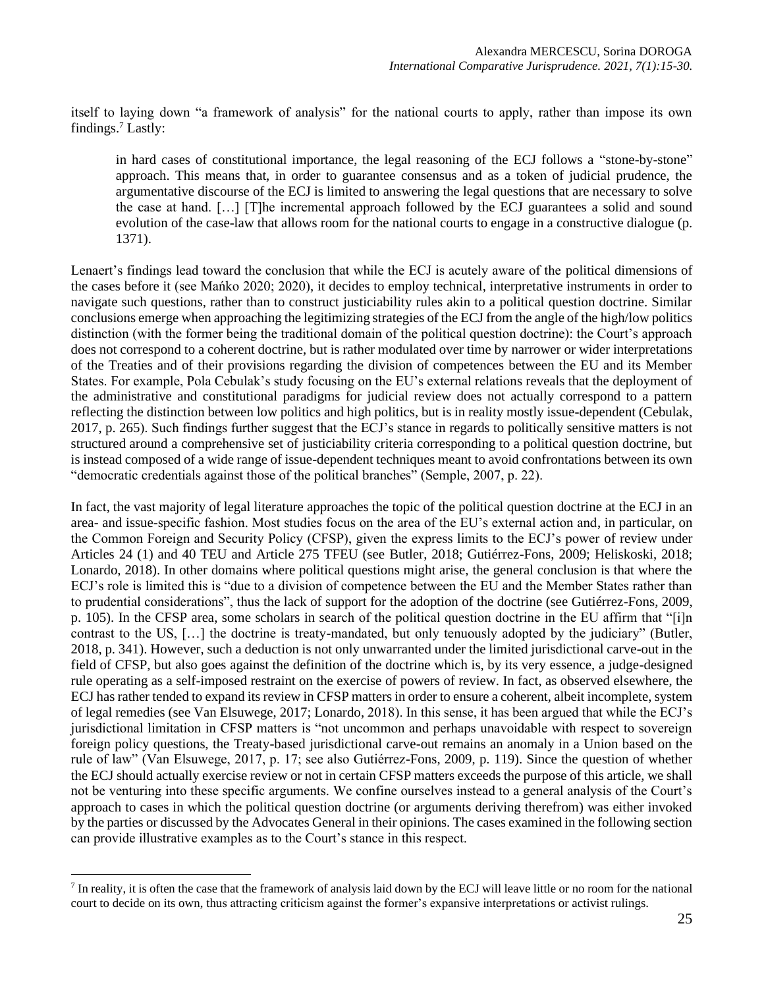itself to laying down "a framework of analysis" for the national courts to apply, rather than impose its own findings.<sup>7</sup> Lastly:

in hard cases of constitutional importance, the legal reasoning of the ECJ follows a "stone-by-stone" approach. This means that, in order to guarantee consensus and as a token of judicial prudence, the argumentative discourse of the ECJ is limited to answering the legal questions that are necessary to solve the case at hand. […] [T]he incremental approach followed by the ECJ guarantees a solid and sound evolution of the case-law that allows room for the national courts to engage in a constructive dialogue (p. 1371).

Lenaert's findings lead toward the conclusion that while the ECJ is acutely aware of the political dimensions of the cases before it (see Mańko 2020; 2020), it decides to employ technical, interpretative instruments in order to navigate such questions, rather than to construct justiciability rules akin to a political question doctrine. Similar conclusions emerge when approaching the legitimizing strategies of the ECJ from the angle of the high/low politics distinction (with the former being the traditional domain of the political question doctrine): the Court's approach does not correspond to a coherent doctrine, but is rather modulated over time by narrower or wider interpretations of the Treaties and of their provisions regarding the division of competences between the EU and its Member States. For example, Pola Cebulak's study focusing on the EU's external relations reveals that the deployment of the administrative and constitutional paradigms for judicial review does not actually correspond to a pattern reflecting the distinction between low politics and high politics, but is in reality mostly issue-dependent (Cebulak, 2017, p. 265). Such findings further suggest that the ECJ's stance in regards to politically sensitive matters is not structured around a comprehensive set of justiciability criteria corresponding to a political question doctrine, but is instead composed of a wide range of issue-dependent techniques meant to avoid confrontations between its own "democratic credentials against those of the political branches" (Semple, 2007, p. 22).

In fact, the vast majority of legal literature approaches the topic of the political question doctrine at the ECJ in an area- and issue-specific fashion. Most studies focus on the area of the EU's external action and, in particular, on the Common Foreign and Security Policy (CFSP), given the express limits to the ECJ's power of review under Articles 24 (1) and 40 TEU and Article 275 TFEU (see Butler, 2018; Gutiérrez-Fons, 2009; Heliskoski, 2018; Lonardo, 2018). In other domains where political questions might arise, the general conclusion is that where the ECJ's role is limited this is "due to a division of competence between the EU and the Member States rather than to prudential considerations", thus the lack of support for the adoption of the doctrine (see Gutiérrez-Fons, 2009, p. 105). In the CFSP area, some scholars in search of the political question doctrine in the EU affirm that "[i]n contrast to the US, […] the doctrine is treaty-mandated, but only tenuously adopted by the judiciary" (Butler, 2018, p. 341). However, such a deduction is not only unwarranted under the limited jurisdictional carve-out in the field of CFSP, but also goes against the definition of the doctrine which is, by its very essence, a judge-designed rule operating as a self-imposed restraint on the exercise of powers of review. In fact, as observed elsewhere, the ECJ has rather tended to expand its review in CFSP matters in order to ensure a coherent, albeit incomplete, system of legal remedies (see Van Elsuwege, 2017; Lonardo, 2018). In this sense, it has been argued that while the ECJ's jurisdictional limitation in CFSP matters is "not uncommon and perhaps unavoidable with respect to sovereign foreign policy questions, the Treaty-based jurisdictional carve-out remains an anomaly in a Union based on the rule of law" (Van Elsuwege, 2017, p. 17; see also Gutiérrez-Fons, 2009, p. 119). Since the question of whether the ECJ should actually exercise review or not in certain CFSP matters exceeds the purpose of this article, we shall not be venturing into these specific arguments. We confine ourselves instead to a general analysis of the Court's approach to cases in which the political question doctrine (or arguments deriving therefrom) was either invoked by the parties or discussed by the Advocates General in their opinions. The cases examined in the following section can provide illustrative examples as to the Court's stance in this respect.

 $<sup>7</sup>$  In reality, it is often the case that the framework of analysis laid down by the ECJ will leave little or no room for the national</sup> court to decide on its own, thus attracting criticism against the former's expansive interpretations or activist rulings.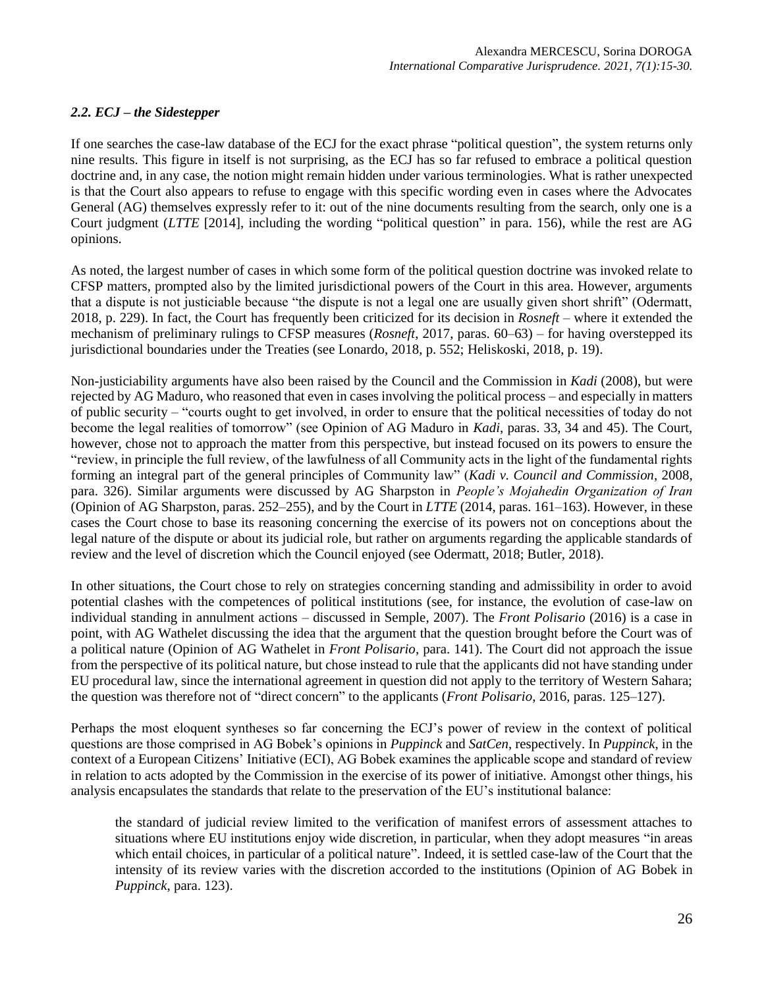# *2.2. ECJ – the Sidestepper*

If one searches the case-law database of the ECJ for the exact phrase "political question", the system returns only nine results. This figure in itself is not surprising, as the ECJ has so far refused to embrace a political question doctrine and, in any case, the notion might remain hidden under various terminologies. What is rather unexpected is that the Court also appears to refuse to engage with this specific wording even in cases where the Advocates General (AG) themselves expressly refer to it: out of the nine documents resulting from the search, only one is a Court judgment (*LTTE* [2014], including the wording "political question" in para. 156), while the rest are AG opinions.

As noted, the largest number of cases in which some form of the political question doctrine was invoked relate to CFSP matters, prompted also by the limited jurisdictional powers of the Court in this area. However, arguments that a dispute is not justiciable because "the dispute is not a legal one are usually given short shrift" (Odermatt, 2018, p. 229). In fact, the Court has frequently been criticized for its decision in *Rosneft* – where it extended the mechanism of preliminary rulings to CFSP measures (*Rosneft*, 2017, paras. 60–63) – for having overstepped its jurisdictional boundaries under the Treaties (see Lonardo, 2018, p. 552; Heliskoski, 2018, p. 19).

Non-justiciability arguments have also been raised by the Council and the Commission in *Kadi* (2008), but were rejected by AG Maduro, who reasoned that even in cases involving the political process – and especially in matters of public security – "courts ought to get involved, in order to ensure that the political necessities of today do not become the legal realities of tomorrow" (see Opinion of AG Maduro in *Kadi*, paras. 33, 34 and 45). The Court, however, chose not to approach the matter from this perspective, but instead focused on its powers to ensure the "review, in principle the full review, of the lawfulness of all Community acts in the light of the fundamental rights forming an integral part of the general principles of Community law" (*Kadi v. Council and Commission*, 2008, para. 326). Similar arguments were discussed by AG Sharpston in *People's Mojahedin Organization of Iran* (Opinion of AG Sharpston, paras. 252–255), and by the Court in *LTTE* (2014, paras. 161–163). However, in these cases the Court chose to base its reasoning concerning the exercise of its powers not on conceptions about the legal nature of the dispute or about its judicial role, but rather on arguments regarding the applicable standards of review and the level of discretion which the Council enjoyed (see Odermatt, 2018; Butler, 2018).

In other situations, the Court chose to rely on strategies concerning standing and admissibility in order to avoid potential clashes with the competences of political institutions (see, for instance, the evolution of case-law on individual standing in annulment actions – discussed in Semple, 2007). The *Front Polisario* (2016) is a case in point, with AG Wathelet discussing the idea that the argument that the question brought before the Court was of a political nature (Opinion of AG Wathelet in *Front Polisario*, para. 141). The Court did not approach the issue from the perspective of its political nature, but chose instead to rule that the applicants did not have standing under EU procedural law, since the international agreement in question did not apply to the territory of Western Sahara; the question was therefore not of "direct concern" to the applicants (*Front Polisario*, 2016, paras. 125–127).

Perhaps the most eloquent syntheses so far concerning the ECJ's power of review in the context of political questions are those comprised in AG Bobek's opinions in *Puppinck* and *SatCen*, respectively. In *Puppinck*, in the context of a European Citizens' Initiative (ECI), AG Bobek examines the applicable scope and standard of review in relation to acts adopted by the Commission in the exercise of its power of initiative. Amongst other things, his analysis encapsulates the standards that relate to the preservation of the EU's institutional balance:

the standard of judicial review limited to the verification of manifest errors of assessment attaches to situations where EU institutions enjoy wide discretion, in particular, when they adopt measures "in areas which entail choices, in particular of a political nature". Indeed, it is settled case-law of the Court that the intensity of its review varies with the discretion accorded to the institutions (Opinion of AG Bobek in *Puppinck*, para. 123).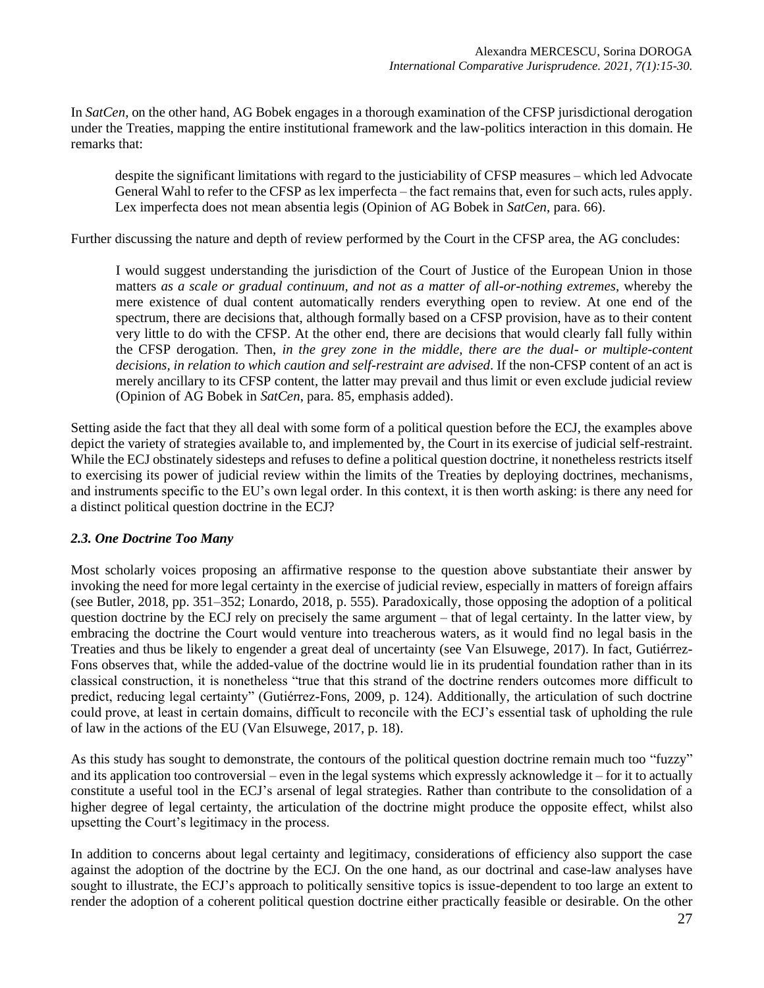In *SatCen*, on the other hand, AG Bobek engages in a thorough examination of the CFSP jurisdictional derogation under the Treaties, mapping the entire institutional framework and the law-politics interaction in this domain. He remarks that:

despite the significant limitations with regard to the justiciability of CFSP measures – which led Advocate General Wahl to refer to the CFSP as lex imperfecta – the fact remains that, even for such acts, rules apply. Lex imperfecta does not mean absentia legis (Opinion of AG Bobek in *SatCen*, para. 66).

Further discussing the nature and depth of review performed by the Court in the CFSP area, the AG concludes:

I would suggest understanding the jurisdiction of the Court of Justice of the European Union in those matters *as a scale or gradual continuum, and not as a matter of all-or-nothing extremes*, whereby the mere existence of dual content automatically renders everything open to review. At one end of the spectrum, there are decisions that, although formally based on a CFSP provision, have as to their content very little to do with the CFSP. At the other end, there are decisions that would clearly fall fully within the CFSP derogation. Then, *in the grey zone in the middle, there are the dual- or multiple-content decisions, in relation to which caution and self-restraint are advised*. If the non-CFSP content of an act is merely ancillary to its CFSP content, the latter may prevail and thus limit or even exclude judicial review (Opinion of AG Bobek in *SatCen*, para. 85, emphasis added).

Setting aside the fact that they all deal with some form of a political question before the ECJ, the examples above depict the variety of strategies available to, and implemented by, the Court in its exercise of judicial self-restraint. While the ECJ obstinately sidesteps and refuses to define a political question doctrine, it nonetheless restricts itself to exercising its power of judicial review within the limits of the Treaties by deploying doctrines, mechanisms, and instruments specific to the EU's own legal order. In this context, it is then worth asking: is there any need for a distinct political question doctrine in the ECJ?

## *2.3. One Doctrine Too Many*

Most scholarly voices proposing an affirmative response to the question above substantiate their answer by invoking the need for more legal certainty in the exercise of judicial review, especially in matters of foreign affairs (see Butler, 2018, pp. 351–352; Lonardo, 2018, p. 555). Paradoxically, those opposing the adoption of a political question doctrine by the ECJ rely on precisely the same argument – that of legal certainty. In the latter view, by embracing the doctrine the Court would venture into treacherous waters, as it would find no legal basis in the Treaties and thus be likely to engender a great deal of uncertainty (see Van Elsuwege, 2017). In fact, Gutiérrez-Fons observes that, while the added-value of the doctrine would lie in its prudential foundation rather than in its classical construction, it is nonetheless "true that this strand of the doctrine renders outcomes more difficult to predict, reducing legal certainty" (Gutiérrez-Fons, 2009, p. 124). Additionally, the articulation of such doctrine could prove, at least in certain domains, difficult to reconcile with the ECJ's essential task of upholding the rule of law in the actions of the EU (Van Elsuwege, 2017, p. 18).

As this study has sought to demonstrate, the contours of the political question doctrine remain much too "fuzzy" and its application too controversial – even in the legal systems which expressly acknowledge it – for it to actually constitute a useful tool in the ECJ's arsenal of legal strategies. Rather than contribute to the consolidation of a higher degree of legal certainty, the articulation of the doctrine might produce the opposite effect, whilst also upsetting the Court's legitimacy in the process.

In addition to concerns about legal certainty and legitimacy, considerations of efficiency also support the case against the adoption of the doctrine by the ECJ. On the one hand, as our doctrinal and case-law analyses have sought to illustrate, the ECJ's approach to politically sensitive topics is issue-dependent to too large an extent to render the adoption of a coherent political question doctrine either practically feasible or desirable. On the other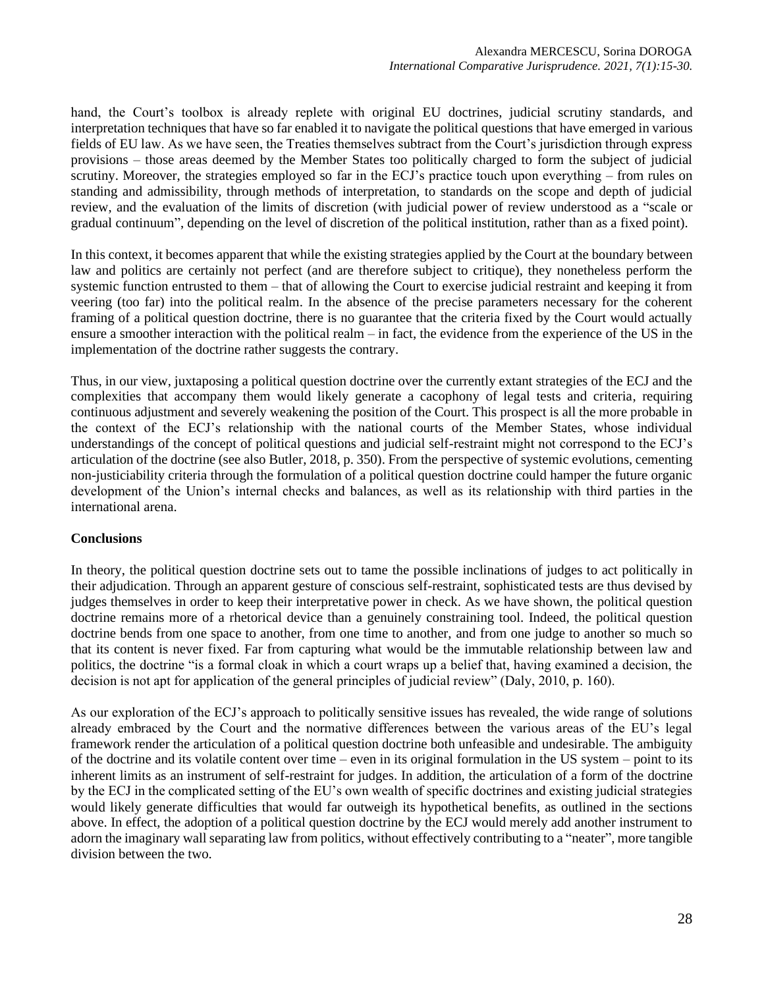hand, the Court's toolbox is already replete with original EU doctrines, judicial scrutiny standards, and interpretation techniques that have so far enabled it to navigate the political questions that have emerged in various fields of EU law. As we have seen, the Treaties themselves subtract from the Court's jurisdiction through express provisions – those areas deemed by the Member States too politically charged to form the subject of judicial scrutiny. Moreover, the strategies employed so far in the ECJ's practice touch upon everything – from rules on standing and admissibility, through methods of interpretation, to standards on the scope and depth of judicial review, and the evaluation of the limits of discretion (with judicial power of review understood as a "scale or gradual continuum", depending on the level of discretion of the political institution, rather than as a fixed point).

In this context, it becomes apparent that while the existing strategies applied by the Court at the boundary between law and politics are certainly not perfect (and are therefore subject to critique), they nonetheless perform the systemic function entrusted to them – that of allowing the Court to exercise judicial restraint and keeping it from veering (too far) into the political realm. In the absence of the precise parameters necessary for the coherent framing of a political question doctrine, there is no guarantee that the criteria fixed by the Court would actually ensure a smoother interaction with the political realm – in fact, the evidence from the experience of the US in the implementation of the doctrine rather suggests the contrary.

Thus, in our view, juxtaposing a political question doctrine over the currently extant strategies of the ECJ and the complexities that accompany them would likely generate a cacophony of legal tests and criteria, requiring continuous adjustment and severely weakening the position of the Court. This prospect is all the more probable in the context of the ECJ's relationship with the national courts of the Member States, whose individual understandings of the concept of political questions and judicial self-restraint might not correspond to the ECJ's articulation of the doctrine (see also Butler, 2018, p. 350). From the perspective of systemic evolutions, cementing non-justiciability criteria through the formulation of a political question doctrine could hamper the future organic development of the Union's internal checks and balances, as well as its relationship with third parties in the international arena.

## **Conclusions**

In theory, the political question doctrine sets out to tame the possible inclinations of judges to act politically in their adjudication. Through an apparent gesture of conscious self-restraint, sophisticated tests are thus devised by judges themselves in order to keep their interpretative power in check. As we have shown, the political question doctrine remains more of a rhetorical device than a genuinely constraining tool. Indeed, the political question doctrine bends from one space to another, from one time to another, and from one judge to another so much so that its content is never fixed. Far from capturing what would be the immutable relationship between law and politics, the doctrine "is a formal cloak in which a court wraps up a belief that, having examined a decision, the decision is not apt for application of the general principles of judicial review" (Daly, 2010, p. 160).

As our exploration of the ECJ's approach to politically sensitive issues has revealed, the wide range of solutions already embraced by the Court and the normative differences between the various areas of the EU's legal framework render the articulation of a political question doctrine both unfeasible and undesirable. The ambiguity of the doctrine and its volatile content over time – even in its original formulation in the US system – point to its inherent limits as an instrument of self-restraint for judges. In addition, the articulation of a form of the doctrine by the ECJ in the complicated setting of the EU's own wealth of specific doctrines and existing judicial strategies would likely generate difficulties that would far outweigh its hypothetical benefits, as outlined in the sections above. In effect, the adoption of a political question doctrine by the ECJ would merely add another instrument to adorn the imaginary wall separating law from politics, without effectively contributing to a "neater", more tangible division between the two.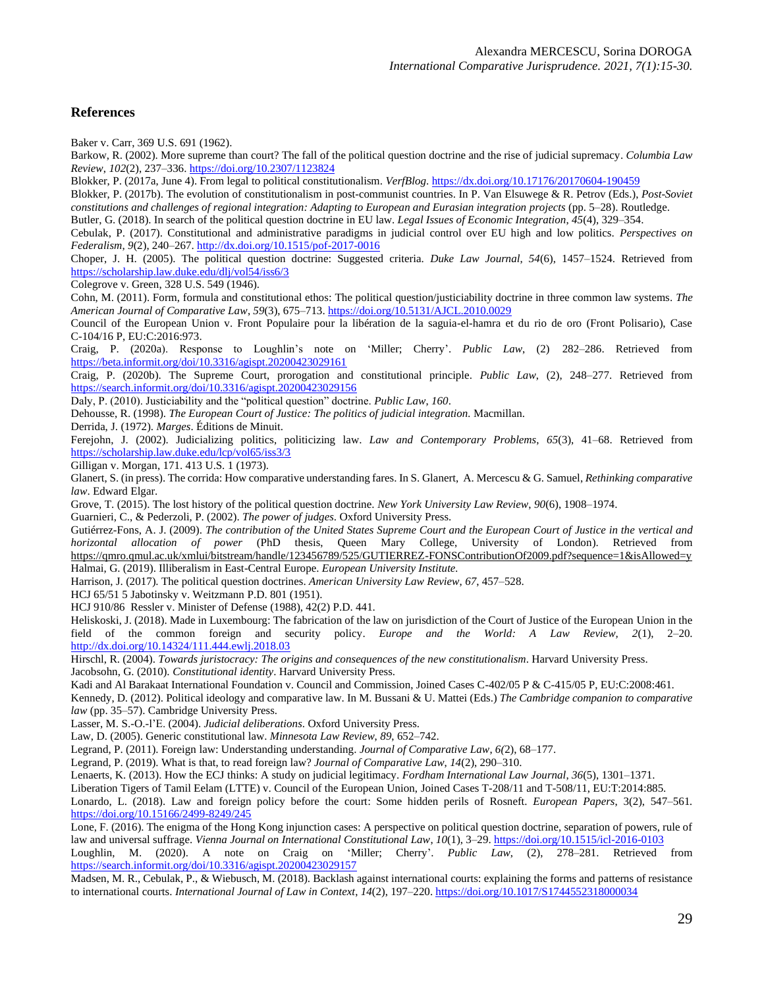## **References**

Baker v. Carr, 369 U.S. 691 (1962).

Barkow, R. (2002). More supreme than court? The fall of the political question doctrine and the rise of judicial supremacy. *Columbia Law Review*, *102*(2), 237–336. <https://doi.org/10.2307/1123824>

Blokker, P. (2017a, June 4). From legal to political constitutionalism. *VerfBlog*. <https://dx.doi.org/10.17176/20170604-190459>

Blokker, P. (2017b). The evolution of constitutionalism in post-communist countries. In P. Van Elsuwege & R. Petrov (Eds.), *Post-Soviet constitutions and challenges of regional integration: Adapting to European and Eurasian integration projects* (pp. 5–28). Routledge.

Butler, G. (2018). In search of the political question doctrine in EU law. *Legal Issues of Economic Integration*, *45*(4), 329–354.

Cebulak, P. (2017). Constitutional and administrative paradigms in judicial control over EU high and low politics. *Perspectives on Federalism*, *9*(2), 240–267. <http://dx.doi.org/10.1515/pof-2017-0016>

Choper, J. H. (2005). The political question doctrine: Suggested criteria. *Duke Law Journal*, *54*(6), 1457–1524. Retrieved from <https://scholarship.law.duke.edu/dlj/vol54/iss6/3>

Colegrove v. Green, 328 U.S. 549 (1946).

Cohn, M. (2011). Form, formula and constitutional ethos: The political question/justiciability doctrine in three common law systems. *The American Journal of Comparative Law*, *59*(3), 675–713. <https://doi.org/10.5131/AJCL.2010.0029>

Council of the European Union v. Front Populaire pour la libération de la saguia-el-hamra et du rio de oro (Front Polisario), Case C-104/16 P, EU:C:2016:973.

Craig, P. (2020a). Response to Loughlin's note on 'Miller; Cherry'. *Public Law*, (2) 282–286. Retrieved from <https://beta.informit.org/doi/10.3316/agispt.20200423029161>

Craig, P. (2020b). The Supreme Court, prorogation and constitutional principle. *Public Law*, (2), 248–277. Retrieved from <https://search.informit.org/doi/10.3316/agispt.20200423029156>

Daly, P. (2010). Justiciability and the "political question" doctrine. *Public Law*, *160*.

Dehousse, R. (1998). *The European Court of Justice: The politics of judicial integration.* Macmillan.

Derrida, J. (1972). *Marges*. Éditions de Minuit.

Ferejohn, J. (2002). Judicializing politics, politicizing law. *Law and Contemporary Problems*, *65*(3), 41–68. Retrieved from <https://scholarship.law.duke.edu/lcp/vol65/iss3/3>

Gilligan v. Morgan, 171. 413 U.S. 1 (1973).

Glanert, S. (in press). The corrida: How comparative understanding fares. In S. Glanert, A. Mercescu & G. Samuel, *Rethinking comparative law*. Edward Elgar.

Grove, T. (2015). The lost history of the political question doctrine. *New York University Law Review*, *90*(6), 1908–1974.

Guarnieri, C., & Pederzoli, P. (2002). *The power of judges*. Oxford University Press.

Gutiérrez-Fons, A. J. (2009). *The contribution of the United States Supreme Court and the European Court of Justice in the vertical and horizontal allocation of power* (PhD thesis, Queen Mary College, University of London). Retrieved from <https://qmro.qmul.ac.uk/xmlui/bitstream/handle/123456789/525/GUTIERREZ-FONSContributionOf2009.pdf?sequence=1&isAllowed=y> Halmai, G. (2019). Illiberalism in East-Central Europe. *European University Institute.*

Harrison, J. (2017). The political question doctrines. *American University Law Review*, *67*, 457–528.

HCJ 65/51 5 Jabotinsky v. Weitzmann P.D. 801 (1951).

HCJ 910/86 Ressler v. Minister of Defense (1988), 42(2) P.D. 441.

Heliskoski, J. (2018). Made in Luxembourg: The fabrication of the law on jurisdiction of the Court of Justice of the European Union in the field of the common foreign and security policy. *Europe and the World: A Law Review, 2*(1), 2–20. <http://dx.doi.org/10.14324/111.444.ewlj.2018.03>

Hirschl, R. (2004). *Towards juristocracy: The origins and consequences of the new constitutionalism*. Harvard University Press. Jacobsohn, G. (2010). *Constitutional identity*. Harvard University Press.

Kadi and Al Barakaat International Foundation v. Council and Commission, Joined Cases C-402/05 P & C-415/05 P, EU:C:2008:461.

Kennedy, D. (2012). Political ideology and comparative law. In M. Bussani & U. Mattei (Eds.) *The Cambridge companion to comparative law* (pp. 35–57). Cambridge University Press.

Lasser, M. S.-O.-l'E. (2004). *Judicial deliberations*. Oxford University Press.

Law, D. (2005). Generic constitutional law. *Minnesota Law Review*, *89*, 652–742.

Legrand, P. (2011). Foreign law: Understanding understanding. *Journal of Comparative Law*, *6(*2), 68–177.

Legrand, P. (2019). What is that, to read foreign law? *Journal of Comparative Law*, *14*(2), 290–310.

Lenaerts, K. (2013). How the ECJ thinks: A study on judicial legitimacy. *Fordham International Law Journal*, *36*(5), 1301–1371.

Liberation Tigers of Tamil Eelam (LTTE) v. Council of the European Union, Joined Cases T-208/11 and T-508/11, EU:T:2014:885.

Lonardo, L. (2018). Law and foreign policy before the court: Some hidden perils of Rosneft. *European Papers*, 3(2), 547–561*.* <https://doi.org/10.15166/2499-8249/245>

Lone, F. (2016). The enigma of the Hong Kong injunction cases: A perspective on political question doctrine, separation of powers, rule of law and universal suffrage. *Vienna Journal on International Constitutional Law*, *10*(1), 3–29. <https://doi.org/10.1515/icl-2016-0103>

Loughlin, M. (2020). A note on Craig on 'Miller; Cherry'. *Public Law*, (2), 278–281. Retrieved from <https://search.informit.org/doi/10.3316/agispt.20200423029157>

Madsen, M. R., Cebulak, P., & Wiebusch, M. (2018). Backlash against international courts: explaining the forms and patterns of resistance to international courts. *International Journal of Law in Context*, *14*(2), 197–220. <https://doi.org/10.1017/S1744552318000034>